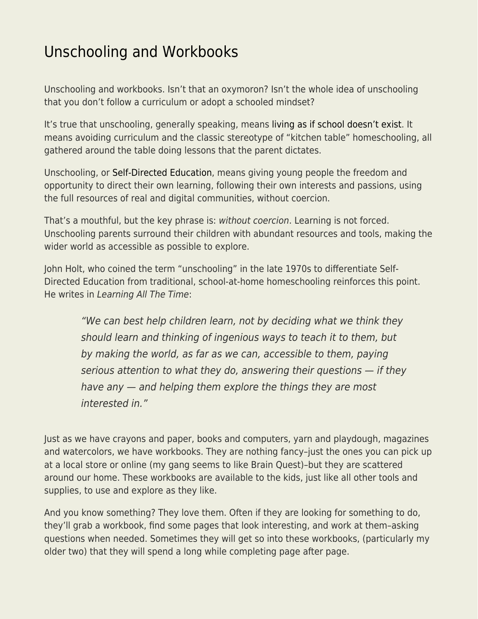## [Unschooling and Workbooks](https://everything-voluntary.com/unschooling-and-workbooks)

Unschooling and workbooks. Isn't that an oxymoron? Isn't the whole idea of unschooling that you don't follow a curriculum or adopt a schooled mindset?

It's true that unschooling, generally speaking, means [living as if school doesn't exist](http://www.lifelearningmagazine.com/definitions/the-words-we-use-living-as-if-school-doesnt-exist.htm). It means avoiding curriculum and the classic stereotype of "kitchen table" homeschooling, all gathered around the table doing lessons that the parent dictates.

Unschooling, or [Self-Directed Education,](https://www.self-directed.org/) means giving young people the freedom and opportunity to direct their own learning, following their own interests and passions, using the full resources of real and digital communities, without coercion.

That's a mouthful, but the key phrase is: without coercion. Learning is not forced. Unschooling parents surround their children with abundant resources and tools, making the wider world as accessible as possible to explore.

John Holt, who coined the term "unschooling" in the late 1970s to differentiate Self-Directed Education from traditional, school-at-home homeschooling reinforces this point. He writes in Learning All The Time:

"We can best help children learn, not by deciding what we think they should learn and thinking of ingenious ways to teach it to them, but by making the world, as far as we can, accessible to them, paying serious attention to what they do, answering their questions — if they have any — and helping them explore the things they are most interested in."

Just as we have crayons and paper, books and computers, yarn and playdough, magazines and watercolors, we have workbooks. They are nothing fancy–just the ones you can pick up at a local store or online (my gang seems to like Brain Quest)–but they are scattered around our home. These workbooks are available to the kids, just like all other tools and supplies, to use and explore as they like.

And you know something? They love them. Often if they are looking for something to do, they'll grab a workbook, find some pages that look interesting, and work at them–asking questions when needed. Sometimes they will get so into these workbooks, (particularly my older two) that they will spend a long while completing page after page.